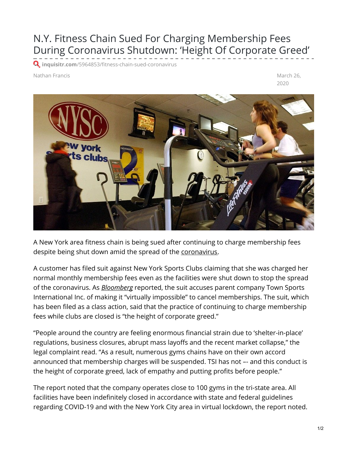## N.Y. Fitness Chain Sued For Charging Membership Fees During Coronavirus Shutdown: 'Height Of Corporate Greed'

**Q** inquisitr.com[/5964853/fitness-chain-sued-coronavirus](https://www.inquisitr.com/5964853/fitness-chain-sued-coronavirus/?utm_source=feedburner&utm_medium=feed&utm_campaign=Feed%253A+google%252FyDYq+(The+Inquisitr+-+News))

Nathan Francis **March 26, and the Contract of Contract and Contract and Contract and Contract and Contract and Contract and Contract and Contract and Contract and Contract and Contract and Contract and Contract and Contrac** 

2020



A New York area fitness chain is being sued after continuing to charge membership fees despite being shut down amid the spread of the [coronavirus](https://www.inquisitr.com/tag/coronavirus/).

A customer has filed suit against New York Sports Clubs claiming that she was charged her normal monthly membership fees even as the facilities were shut down to stop the spread of the coronavirus. As *[Bloomberg](https://www.bloomberg.com/news/articles/2020-03-26/new-york-gym-chain-sued-for-charging-fees-despite-virus-shutdown)* reported, the suit accuses parent company Town Sports International Inc. of making it "virtually impossible" to cancel memberships. The suit, which has been filed as a class action, said that the practice of continuing to charge membership fees while clubs are closed is "the height of corporate greed."

"People around the country are feeling enormous financial strain due to 'shelter-in-place' regulations, business closures, abrupt mass layoffs and the recent market collapse," the legal complaint read. "As a result, numerous gyms chains have on their own accord announced that membership charges will be suspended. TSI has not –- and this conduct is the height of corporate greed, lack of empathy and putting profits before people."

The report noted that the company operates close to 100 gyms in the tri-state area. All facilities have been indefinitely closed in accordance with state and federal guidelines regarding COVID-19 and with the New York City area in virtual lockdown, the report noted.